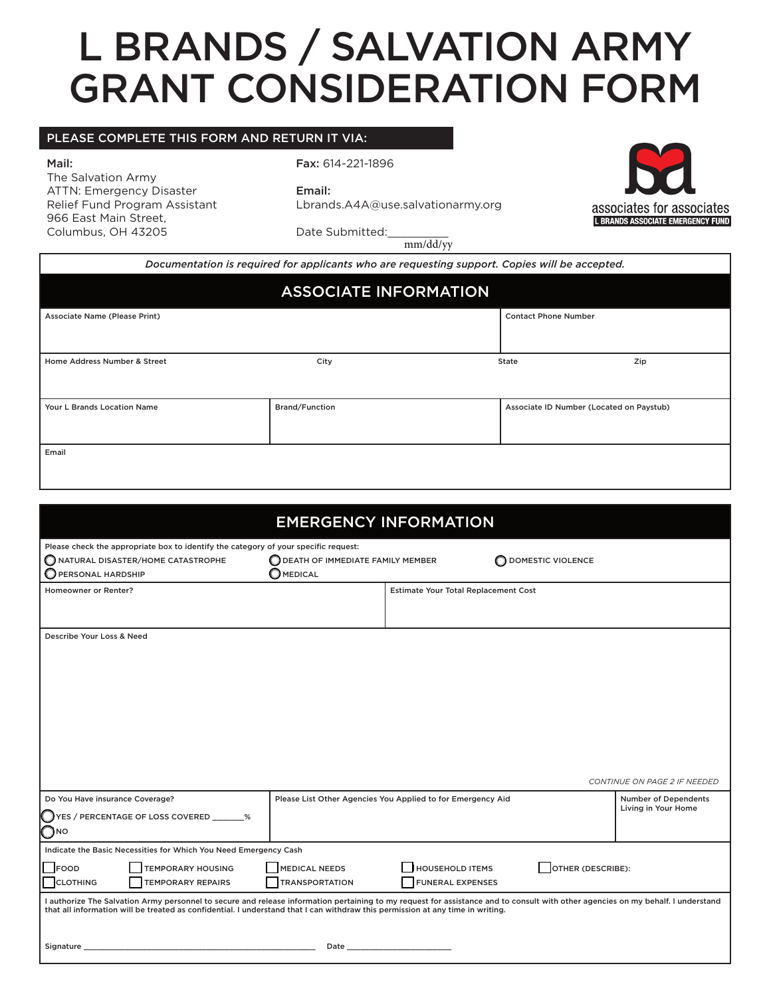## L BRANDS / SALVATION ARMY GRANT CONSIDERATION FORM

## PLEASE COMPLETE THIS FORM AND RETURN IT VIA:

Mail:

The Salvation Army ATTN: Emergency Disaster Relief Fund Program Assistant 966 East Main Street, Columbus, OH 43205

Fax: 614-221-1896

Email:

Lbrands.A4A@use.salvationarmy.org



Date Submitted:

mm/dd/yy

| Documentation is required for applicants who are requesting support. Copies will be accepted. |                       |                                          |  |  |  |  |
|-----------------------------------------------------------------------------------------------|-----------------------|------------------------------------------|--|--|--|--|
| <b>ASSOCIATE INFORMATION</b>                                                                  |                       |                                          |  |  |  |  |
| Associate Name (Please Print)                                                                 |                       | <b>Contact Phone Number</b>              |  |  |  |  |
|                                                                                               |                       |                                          |  |  |  |  |
| Home Address Number & Street                                                                  | City                  | Zip<br>State                             |  |  |  |  |
|                                                                                               |                       |                                          |  |  |  |  |
| <b>Your L Brands Location Name</b>                                                            | <b>Brand/Function</b> | Associate ID Number (Located on Paystub) |  |  |  |  |
|                                                                                               |                       |                                          |  |  |  |  |
| Email                                                                                         |                       |                                          |  |  |  |  |
|                                                                                               |                       |                                          |  |  |  |  |
|                                                                                               |                       |                                          |  |  |  |  |

| <b>EMERGENCY INFORMATION</b>                                                                                                                                                                                                                                                                                                                                                                                                                                                                                                            |                                                                                                                                                                                                                                |                                      |                          |                                                    |  |  |
|-----------------------------------------------------------------------------------------------------------------------------------------------------------------------------------------------------------------------------------------------------------------------------------------------------------------------------------------------------------------------------------------------------------------------------------------------------------------------------------------------------------------------------------------|--------------------------------------------------------------------------------------------------------------------------------------------------------------------------------------------------------------------------------|--------------------------------------|--------------------------|----------------------------------------------------|--|--|
| Please check the appropriate box to identify the category of your specific request:<br>NATURAL DISASTER/HOME CATASTROPHE<br>PERSONAL HARDSHIP                                                                                                                                                                                                                                                                                                                                                                                           | <b>O DEATH OF IMMEDIATE FAMILY MEMBER</b><br>O<br><b>MEDICAL</b>                                                                                                                                                               |                                      | <b>DOMESTIC VIOLENCE</b> |                                                    |  |  |
| <b>Homeowner or Renter?</b>                                                                                                                                                                                                                                                                                                                                                                                                                                                                                                             |                                                                                                                                                                                                                                | Estimate Your Total Replacement Cost |                          |                                                    |  |  |
| Describe Your Loss & Need                                                                                                                                                                                                                                                                                                                                                                                                                                                                                                               |                                                                                                                                                                                                                                |                                      |                          | CONTINUE ON PAGE 2 IF NEEDED                       |  |  |
| Do You Have insurance Coverage?<br>ES / PERCENTAGE OF LOSS COVERED _______%<br>Омо                                                                                                                                                                                                                                                                                                                                                                                                                                                      | Please List Other Agencies You Applied to for Emergency Aid                                                                                                                                                                    |                                      |                          | <b>Number of Dependents</b><br>Living in Your Home |  |  |
| Indicate the Basic Necessities for Which You Need Emergency Cash                                                                                                                                                                                                                                                                                                                                                                                                                                                                        |                                                                                                                                                                                                                                |                                      |                          |                                                    |  |  |
| OTHER (DESCRIBE):<br><b>HOUSEHOLD ITEMS</b><br><b>TEMPORARY HOUSING</b><br><b>MEDICAL NEEDS</b><br><b>FOOD</b><br><b>TEMPORARY REPAIRS</b><br><b>TRANSPORTATION</b><br><b>FUNERAL EXPENSES</b><br><b>CLOTHING</b><br>I authorize The Salvation Army personnel to secure and release information pertaining to my request for assistance and to consult with other agencies on my behalf. I understand<br>that all information will be treated as confidential. I understand that I can withdraw this permission at any time in writing. |                                                                                                                                                                                                                                |                                      |                          |                                                    |  |  |
| Signature _                                                                                                                                                                                                                                                                                                                                                                                                                                                                                                                             | Date and the contract of the contract of the contract of the contract of the contract of the contract of the contract of the contract of the contract of the contract of the contract of the contract of the contract of the c |                                      |                          |                                                    |  |  |